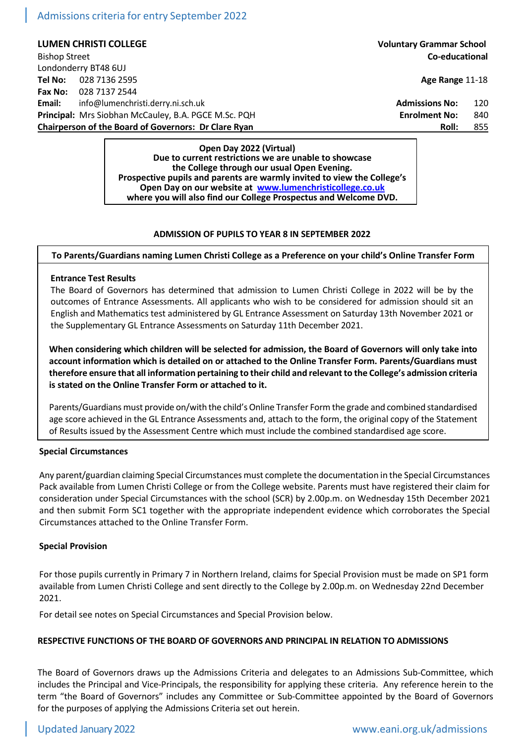Admissions criteria for entry September 2022

**LUMEN CHRISTI COLLEGE Voluntary Grammar School** Bishop Street **Co-educational** Londonderry BT48 6UJ **Tel No:** 028 7136 2595 **Age Range** 11-18 **Fax No:** 028 7137 2544 **Email:** [info@lumenchristi.derry.ni.sch.uk](mailto:info@lumenchristi.derry.ni.sch.uk) **Admissions Admissions No:** 120 **Principal:** Mrs Siobhan McCauley, B.A. PGCE M.Sc. PQH **Enrolment No:** 840 **Chairperson of the Board of Governors: Dr Clare Ryan Roll:** 855

> **Open Day 2022 (Virtual) Due to current restrictions we are unable to showcase the College through our usual Open Evening. Prospective pupils and parents are warmly invited to view the College's Open Day on our website at [www.lumenchristicollege.co.uk](http://www.lumenchristicollege.co.uk/) where you will also find our College Prospectus and Welcome DVD.**

## **ADMISSION OF PUPILS TO YEAR 8 IN SEPTEMBER 2022**

**To Parents/Guardians naming Lumen Christi College as a Preference on your child's Online Transfer Form**

## **Entrance Test Results**

The Board of Governors has determined that admission to Lumen Christi College in 2022 will be by the outcomes of Entrance Assessments. All applicants who wish to be considered for admission should sit an English and Mathematics test administered by GL Entrance Assessment on Saturday 13th November 2021 or the Supplementary GL Entrance Assessments on Saturday 11th December 2021.

**When considering which children will be selected for admission, the Board of Governors will only take into account information which is detailed on or attached to the Online Transfer Form. Parents/Guardians must therefore ensure that all information pertaining to their child and relevant to the College's admission criteria is stated on the Online Transfer Form or attached to it.**

Parents/Guardians must provide on/with the child's Online Transfer Form the grade and combined standardised age score achieved in the GL Entrance Assessments and, attach to the form, the original copy of the Statement of Results issued by the Assessment Centre which must include the combined standardised age score.

#### **Special Circumstances**

Any parent/guardian claiming Special Circumstances must complete the documentation in the Special Circumstances Pack available from Lumen Christi College or from the College website. Parents must have registered their claim for consideration under Special Circumstances with the school (SCR) by 2.00p.m. on Wednesday 15th December 2021 and then submit Form SC1 together with the appropriate independent evidence which corroborates the Special Circumstances attached to the Online Transfer Form.

## **Special Provision**

For those pupils currently in Primary 7 in Northern Ireland, claims for Special Provision must be made on SP1 form available from Lumen Christi College and sent directly to the College by 2.00p.m. on Wednesday 22nd December 2021.

For detail see notes on Special Circumstances and Special Provision below.

## **RESPECTIVE FUNCTIONS OF THE BOARD OF GOVERNORS AND PRINCIPAL IN RELATION TO ADMISSIONS**

The Board of Governors draws up the Admissions Criteria and delegates to an Admissions Sub-Committee, which includes the Principal and Vice-Principals, the responsibility for applying these criteria. Any reference herein to the term "the Board of Governors" includes any Committee or Sub-Committee appointed by the Board of Governors for the purposes of applying the Admissions Criteria set out herein.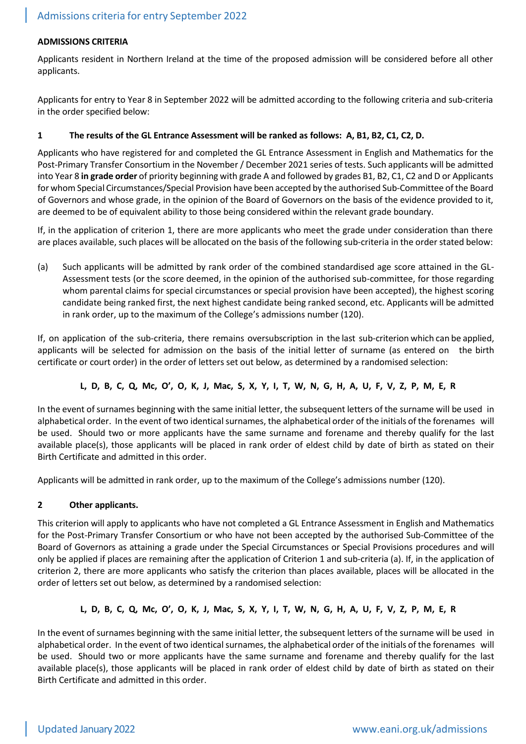## **ADMISSIONS CRITERIA**

Applicants resident in Northern Ireland at the time of the proposed admission will be considered before all other applicants.

Applicants for entry to Year 8 in September 2022 will be admitted according to the following criteria and sub-criteria in the order specified below:

## **1 The results of the GL Entrance Assessment will be ranked as follows: A, B1, B2, C1, C2, D.**

Applicants who have registered for and completed the GL Entrance Assessment in English and Mathematics for the Post-Primary Transfer Consortium in the November / December 2021 series of tests. Such applicants will be admitted into Year 8 **in grade order** of priority beginning with grade A and followed by grades B1, B2, C1, C2 and D or Applicants for whom Special Circumstances/Special Provision have been accepted by the authorised Sub-Committee of the Board of Governors and whose grade, in the opinion of the Board of Governors on the basis of the evidence provided to it, are deemed to be of equivalent ability to those being considered within the relevant grade boundary.

If, in the application of criterion 1, there are more applicants who meet the grade under consideration than there are places available, such places will be allocated on the basis of the following sub-criteria in the order stated below:

(a) Such applicants will be admitted by rank order of the combined standardised age score attained in the GL-Assessment tests (or the score deemed, in the opinion of the authorised sub-committee, for those regarding whom parental claims for special circumstances or special provision have been accepted), the highest scoring candidate being ranked first, the next highest candidate being ranked second, etc. Applicants will be admitted in rank order, up to the maximum of the College's admissions number (120).

If, on application of the sub-criteria, there remains oversubscription in the last sub-criterion which can be applied, applicants will be selected for admission on the basis of the initial letter of surname (as entered on the birth certificate or court order) in the order of letters set out below, as determined by a randomised selection:

# **L, D, B, C, Q, Mc, O', O, K, J, Mac, S, X, Y, I, T, W, N, G, H, A, U, F, V, Z, P, M, E, R**

In the event of surnames beginning with the same initial letter, the subsequent letters of the surname will be used in alphabetical order. In the event of two identical surnames, the alphabetical order of the initials of the forenames will be used. Should two or more applicants have the same surname and forename and thereby qualify for the last available place(s), those applicants will be placed in rank order of eldest child by date of birth as stated on their Birth Certificate and admitted in this order.

Applicants will be admitted in rank order, up to the maximum of the College's admissions number (120).

# **2 Other applicants.**

This criterion will apply to applicants who have not completed a GL Entrance Assessment in English and Mathematics for the Post-Primary Transfer Consortium or who have not been accepted by the authorised Sub-Committee of the Board of Governors as attaining a grade under the Special Circumstances or Special Provisions procedures and will only be applied if places are remaining after the application of Criterion 1 and sub-criteria (a). If, in the application of criterion 2, there are more applicants who satisfy the criterion than places available, places will be allocated in the order of letters set out below, as determined by a randomised selection:

# **L, D, B, C, Q, Mc, O', O, K, J, Mac, S, X, Y, I, T, W, N, G, H, A, U, F, V, Z, P, M, E, R**

In the event of surnames beginning with the same initial letter, the subsequent letters of the surname will be used in alphabetical order. In the event of two identical surnames, the alphabetical order of the initials of the forenames will be used. Should two or more applicants have the same surname and forename and thereby qualify for the last available place(s), those applicants will be placed in rank order of eldest child by date of birth as stated on their Birth Certificate and admitted in this order.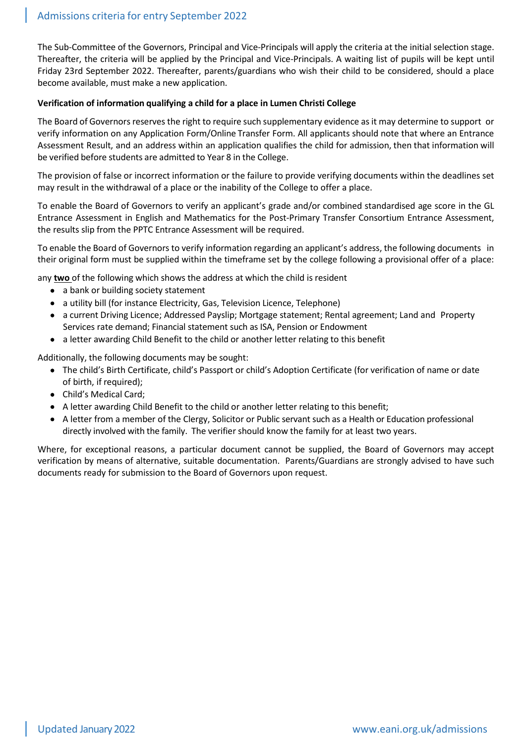The Sub-Committee of the Governors, Principal and Vice-Principals will apply the criteria at the initial selection stage. Thereafter, the criteria will be applied by the Principal and Vice-Principals. A waiting list of pupils will be kept until Friday 23rd September 2022. Thereafter, parents/guardians who wish their child to be considered, should a place become available, must make a new application.

## **Verification of information qualifying a child for a place in Lumen Christi College**

The Board of Governors reserves the right to require such supplementary evidence as it may determine to support or verify information on any Application Form/Online Transfer Form. All applicants should note that where an Entrance Assessment Result, and an address within an application qualifies the child for admission, then that information will be verified before students are admitted to Year 8 in the College.

The provision of false or incorrect information or the failure to provide verifying documents within the deadlines set may result in the withdrawal of a place or the inability of the College to offer a place.

To enable the Board of Governors to verify an applicant's grade and/or combined standardised age score in the GL Entrance Assessment in English and Mathematics for the Post-Primary Transfer Consortium Entrance Assessment, the results slip from the PPTC Entrance Assessment will be required.

To enable the Board of Governors to verify information regarding an applicant's address, the following documents in their original form must be supplied within the timeframe set by the college following a provisional offer of a place:

any **two** of the following which shows the address at which the child is resident

- a bank or building society statement
- a utility bill (for instance Electricity, Gas, Television Licence, Telephone)
- a current Driving Licence; Addressed Payslip; Mortgage statement; Rental agreement; Land and Property Services rate demand; Financial statement such as ISA, Pension or Endowment
- a letter awarding Child Benefit to the child or another letter relating to this benefit

Additionally, the following documents may be sought:

- The child's Birth Certificate, child's Passport or child's Adoption Certificate (for verification of name or date of birth, if required);
- Child's Medical Card;
- A letter awarding Child Benefit to the child or another letter relating to this benefit;
- A letter from a member of the Clergy, Solicitor or Public servant such as a Health or Education professional directly involved with the family. The verifier should know the family for at least two years.

Where, for exceptional reasons, a particular document cannot be supplied, the Board of Governors may accept verification by means of alternative, suitable documentation. Parents/Guardians are strongly advised to have such documents ready for submission to the Board of Governors upon request.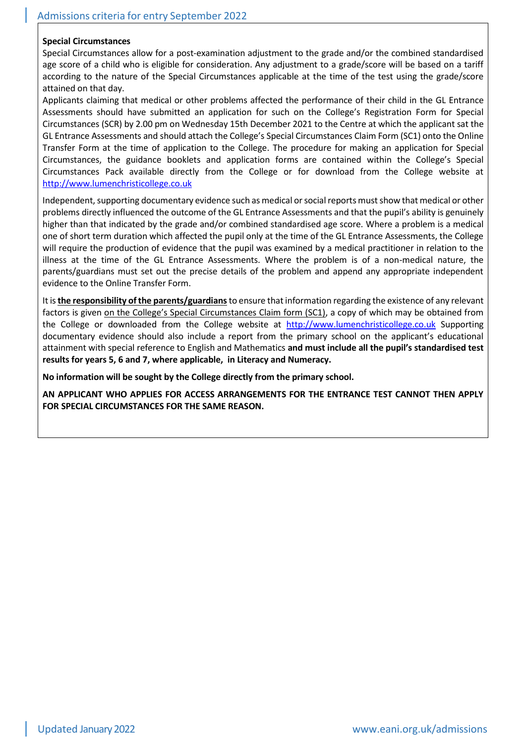## **Special Circumstances**

Special Circumstances allow for a post-examination adjustment to the grade and/or the combined standardised age score of a child who is eligible for consideration. Any adjustment to a grade/score will be based on a tariff according to the nature of the Special Circumstances applicable at the time of the test using the grade/score attained on that day.

Applicants claiming that medical or other problems affected the performance of their child in the GL Entrance Assessments should have submitted an application for such on the College's Registration Form for Special Circumstances (SCR) by 2.00 pm on Wednesday 15th December 2021 to the Centre at which the applicant sat the GL Entrance Assessments and should attach the College's Special Circumstances Claim Form (SC1) onto the Online Transfer Form at the time of application to the College. The procedure for making an application for Special Circumstances, the guidance booklets and application forms are contained within the College's Special Circumstances Pack available directly from the College or for download from the College website at [http://www.lumenchristicollege.co.uk](http://www.lumenchristicollege.co.uk/)

Independent, supporting documentary evidence such as medical or social reports must show that medical or other problems directly influenced the outcome of the GL Entrance Assessments and that the pupil's ability is genuinely higher than that indicated by the grade and/or combined standardised age score. Where a problem is a medical one of short term duration which affected the pupil only at the time of the GL Entrance Assessments, the College will require the production of evidence that the pupil was examined by a medical practitioner in relation to the illness at the time of the GL Entrance Assessments. Where the problem is of a non-medical nature, the parents/guardians must set out the precise details of the problem and append any appropriate independent evidence to the Online Transfer Form.

It is **the responsibility of the parents/guardians**to ensure that information regarding the existence of any relevant factors is given on the College's Special Circumstances Claim form (SC1), a copy of which may be obtained from the College or downloaded from the College website at [http://www.lumenchristicollege.co.uk](http://www.lumenchristicollege.co.uk/) Supporting documentary evidence should also include a report from the primary school on the applicant's educational attainment with special reference to English and Mathematics **and must include all the pupil's standardised test results for years 5, 6 and 7, where applicable, in Literacy and Numeracy.**

**No information will be sought by the College directly from the primary school.**

**AN APPLICANT WHO APPLIES FOR ACCESS ARRANGEMENTS FOR THE ENTRANCE TEST CANNOT THEN APPLY FOR SPECIAL CIRCUMSTANCES FOR THE SAME REASON.**